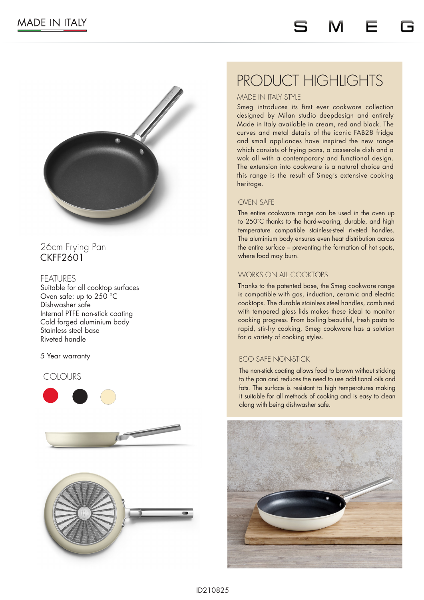

# 26cm Frying Pan CKFF2601

## FFATI IRFS

Suitable for all cooktop surfaces Oven safe: up to 250 °C Dishwasher safe Internal PTFE non-stick coating Cold forged aluminium body Stainless steel base Riveted handle

### 5 Year warranty

### COLOURS







# PRODUCT HIGHLIGHTS

### MADE IN ITALY STYLE

Smeg introduces its first ever cookware collection designed by Milan studio deepdesign and entirely Made in Italy available in cream, red and black. The curves and metal details of the iconic FAB28 fridge and small appliances have inspired the new range which consists of frying pans, a casserole dish and a wok all with a contemporary and functional design. The extension into cookware is a natural choice and this range is the result of Smeg's extensive cooking heritage.

### OVEN SAFE

The entire cookware range can be used in the oven up to 250˚C thanks to the hard-wearing, durable, and high temperature compatible stainless-steel riveted handles. The aluminium body ensures even heat distribution across the entire surface – preventing the formation of hot spots, where food may burn.

### WORKS ON ALL COOKTOPS

Thanks to the patented base, the Smeg cookware range is compatible with gas, induction, ceramic and electric cooktops. The durable stainless steel handles, combined with tempered glass lids makes these ideal to monitor cooking progress. From boiling beautiful, fresh pasta to rapid, stir-fry cooking, Smeg cookware has a solution for a variety of cooking styles.

## ECO SAFE NON-STICK

The non-stick coating allows food to brown without sticking to the pan and reduces the need to use additional oils and fats. The surface is resistant to high temperatures making it suitable for all methods of cooking and is easy to clean along with being dishwasher safe.